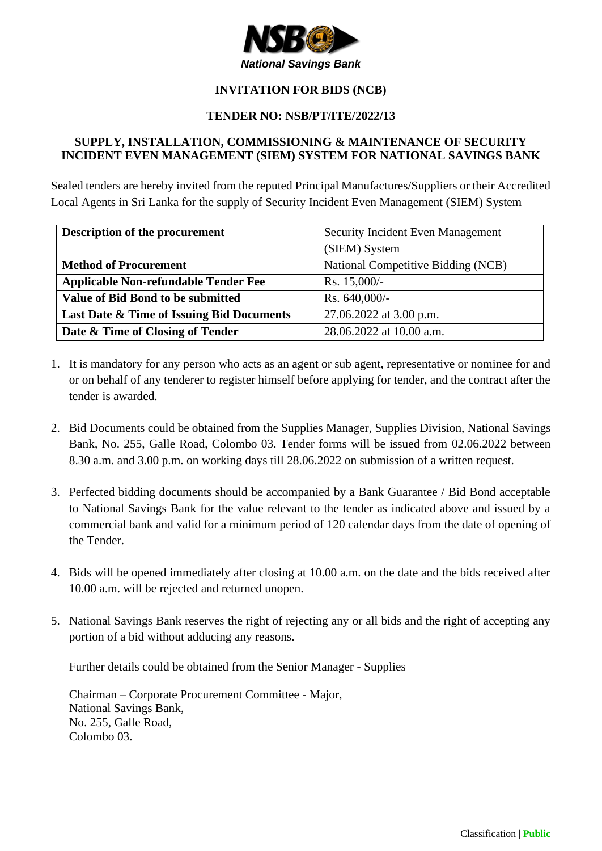

# **INVITATION FOR BIDS (NCB)**

### **TENDER NO: NSB/PT/ITE/2022/13**

#### **SUPPLY, INSTALLATION, COMMISSIONING & MAINTENANCE OF SECURITY INCIDENT EVEN MANAGEMENT (SIEM) SYSTEM FOR NATIONAL SAVINGS BANK**

Sealed tenders are hereby invited from the reputed Principal Manufactures/Suppliers or their Accredited Local Agents in Sri Lanka for the supply of Security Incident Even Management (SIEM) System

| Description of the procurement              | Security Incident Even Management  |
|---------------------------------------------|------------------------------------|
|                                             | (SIEM) System                      |
| <b>Method of Procurement</b>                | National Competitive Bidding (NCB) |
| <b>Applicable Non-refundable Tender Fee</b> | Rs. 15,000/-                       |
| Value of Bid Bond to be submitted           | Rs. 640,000/-                      |
| Last Date & Time of Issuing Bid Documents   | 27.06.2022 at 3.00 p.m.            |
| Date & Time of Closing of Tender            | 28.06.2022 at 10.00 a.m.           |

- 1. It is mandatory for any person who acts as an agent or sub agent, representative or nominee for and or on behalf of any tenderer to register himself before applying for tender, and the contract after the tender is awarded.
- 2. Bid Documents could be obtained from the Supplies Manager, Supplies Division, National Savings Bank, No. 255, Galle Road, Colombo 03. Tender forms will be issued from 02.06.2022 between 8.30 a.m. and 3.00 p.m. on working days till 28.06.2022 on submission of a written request.
- 3. Perfected bidding documents should be accompanied by a Bank Guarantee / Bid Bond acceptable to National Savings Bank for the value relevant to the tender as indicated above and issued by a commercial bank and valid for a minimum period of 120 calendar days from the date of opening of the Tender.
- 4. Bids will be opened immediately after closing at 10.00 a.m. on the date and the bids received after 10.00 a.m. will be rejected and returned unopen.
- 5. National Savings Bank reserves the right of rejecting any or all bids and the right of accepting any portion of a bid without adducing any reasons.

Further details could be obtained from the Senior Manager - Supplies

Chairman – Corporate Procurement Committee - Major, National Savings Bank, No. 255, Galle Road, Colombo 03.